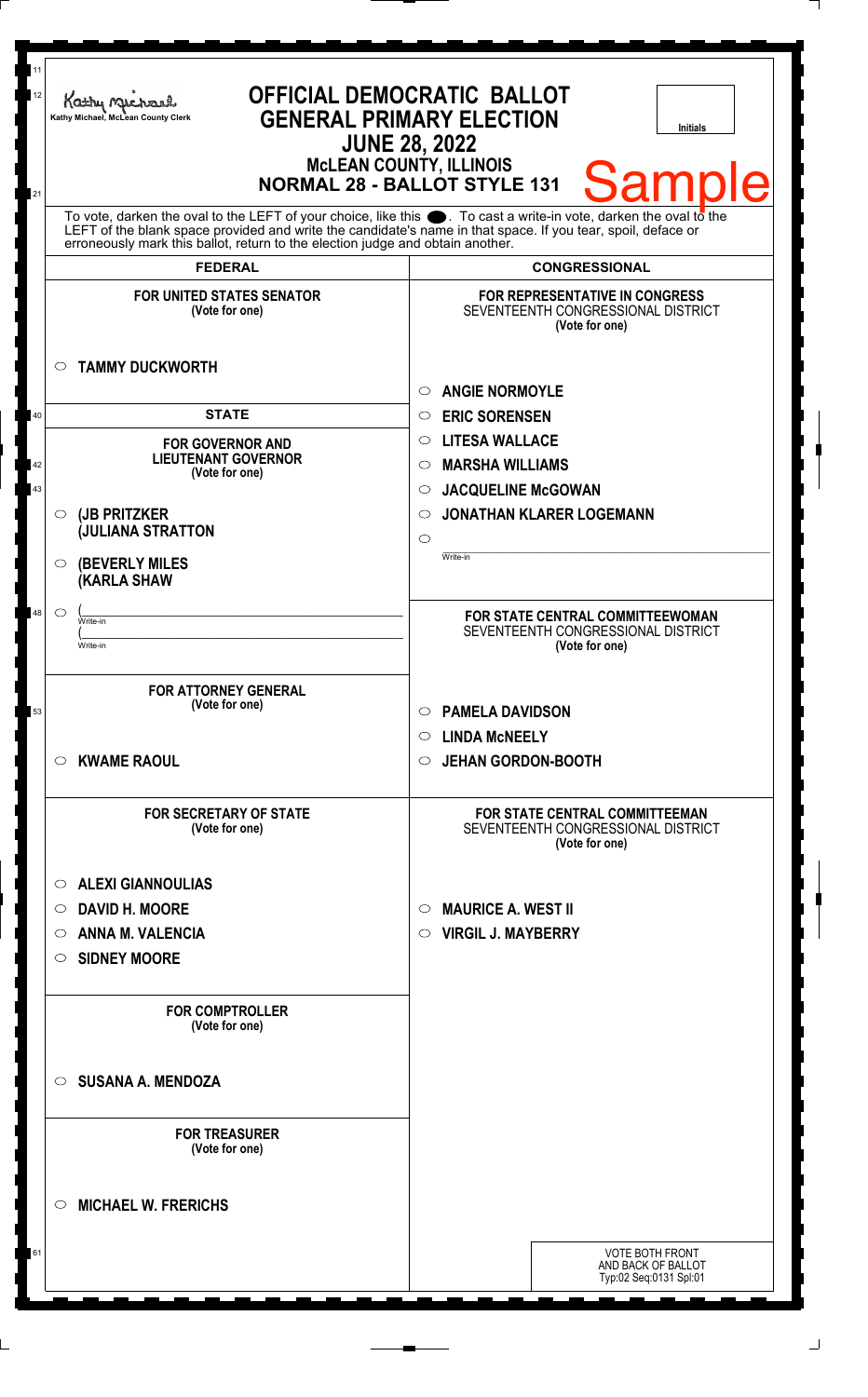| 11<br>12 | Kathy Mac<br>Kathy Michael, McLean County Clerk                                                                                                                                                | <b>OFFICIAL DEMOCRATIC BALLOT</b><br><b>GENERAL PRIMARY ELECTION</b><br>Initials<br><b>JUNE 28, 2022</b><br><b>McLEAN COUNTY, ILLINOIS</b> |
|----------|------------------------------------------------------------------------------------------------------------------------------------------------------------------------------------------------|--------------------------------------------------------------------------------------------------------------------------------------------|
| 21       | To vote, darken the oval to the LEFT of your choice, like this $\bullet$ . To cast a write-in vote, darken the oval to the                                                                     | <b>Sample</b><br><b>NORMAL 28 - BALLOT STYLE 131</b>                                                                                       |
|          | LEFT of the blank space provided and write the candidate's name in that space. If you tear, spoil, deface or<br>erroneously mark this ballot, return to the election judge and obtain another. |                                                                                                                                            |
|          | <b>FEDERAL</b>                                                                                                                                                                                 | <b>CONGRESSIONAL</b>                                                                                                                       |
|          | <b>FOR UNITED STATES SENATOR</b><br>(Vote for one)                                                                                                                                             | <b>FOR REPRESENTATIVE IN CONGRESS</b><br>SEVENTEENTH CONGRESSIONAL DISTRICT<br>(Vote for one)                                              |
|          | <b>TAMMY DUCKWORTH</b><br>$\circ$                                                                                                                                                              | <b>ANGIE NORMOYLE</b><br>$\bigcirc$                                                                                                        |
| 40       | <b>STATE</b>                                                                                                                                                                                   | <b>ERIC SORENSEN</b><br>$\circ$                                                                                                            |
|          | <b>FOR GOVERNOR AND</b>                                                                                                                                                                        | <b>LITESA WALLACE</b><br>$\circ$                                                                                                           |
| 42       | <b>LIEUTENANT GOVERNOR</b>                                                                                                                                                                     | <b>MARSHA WILLIAMS</b><br>◯                                                                                                                |
| 43       | (Vote for one)                                                                                                                                                                                 | <b>JACQUELINE McGOWAN</b><br>$\circ$                                                                                                       |
|          | (JB PRITZKER<br>$\circ$                                                                                                                                                                        | <b>JONATHAN KLARER LOGEMANN</b><br>◯                                                                                                       |
|          | <b>JULIANA STRATTON</b>                                                                                                                                                                        | $\circ$                                                                                                                                    |
|          | <b>(BEVERLY MILES</b><br>$\circ$<br><b>(KARLA SHAW</b>                                                                                                                                         | Write-in                                                                                                                                   |
| 48       | $\circlearrowright$<br>Write-in                                                                                                                                                                | FOR STATE CENTRAL COMMITTEEWOMAN                                                                                                           |
|          | Write-in                                                                                                                                                                                       | SEVENTEENTH CONGRESSIONAL DISTRICT<br>(Vote for one)                                                                                       |
|          |                                                                                                                                                                                                |                                                                                                                                            |
|          | <b>FOR ATTORNEY GENERAL</b>                                                                                                                                                                    |                                                                                                                                            |
| 53       | (Vote for one)                                                                                                                                                                                 | <b>PAMELA DAVIDSON</b><br>$\circ$                                                                                                          |
|          |                                                                                                                                                                                                | <b>LINDA MCNEELY</b><br>$\circ$                                                                                                            |
|          | <b>KWAME RAOUL</b><br>$\circ$                                                                                                                                                                  | <b>JEHAN GORDON-BOOTH</b><br>$\circ$                                                                                                       |
|          |                                                                                                                                                                                                |                                                                                                                                            |
|          | <b>FOR SECRETARY OF STATE</b><br>(Vote for one)                                                                                                                                                | <b>FOR STATE CENTRAL COMMITTEEMAN</b><br>SEVENTEENTH CONGRESSIONAL DISTRICT<br>(Vote for one)                                              |
|          | <b>ALEXI GIANNOULIAS</b><br>$\circ$                                                                                                                                                            |                                                                                                                                            |
|          | <b>DAVID H. MOORE</b><br>$\circ$                                                                                                                                                               | <b>MAURICE A. WEST II</b><br>$\circ$                                                                                                       |
|          | <b>ANNA M. VALENCIA</b><br>$\circ$                                                                                                                                                             | <b>VIRGIL J. MAYBERRY</b><br>$\circ$                                                                                                       |
|          | <b>SIDNEY MOORE</b><br>O                                                                                                                                                                       |                                                                                                                                            |
|          |                                                                                                                                                                                                |                                                                                                                                            |
|          | <b>FOR COMPTROLLER</b><br>(Vote for one)                                                                                                                                                       |                                                                                                                                            |
|          | <b>SUSANA A. MENDOZA</b><br>$\circ$                                                                                                                                                            |                                                                                                                                            |
|          | <b>FOR TREASURER</b><br>(Vote for one)                                                                                                                                                         |                                                                                                                                            |
|          | <b>MICHAEL W. FRERICHS</b><br>$\circ$                                                                                                                                                          |                                                                                                                                            |
| 61       |                                                                                                                                                                                                | <b>VOTE BOTH FRONT</b><br>AND BACK OF BALLOT                                                                                               |
|          |                                                                                                                                                                                                | Typ:02 Seq:0131 Spl:01                                                                                                                     |
|          |                                                                                                                                                                                                |                                                                                                                                            |